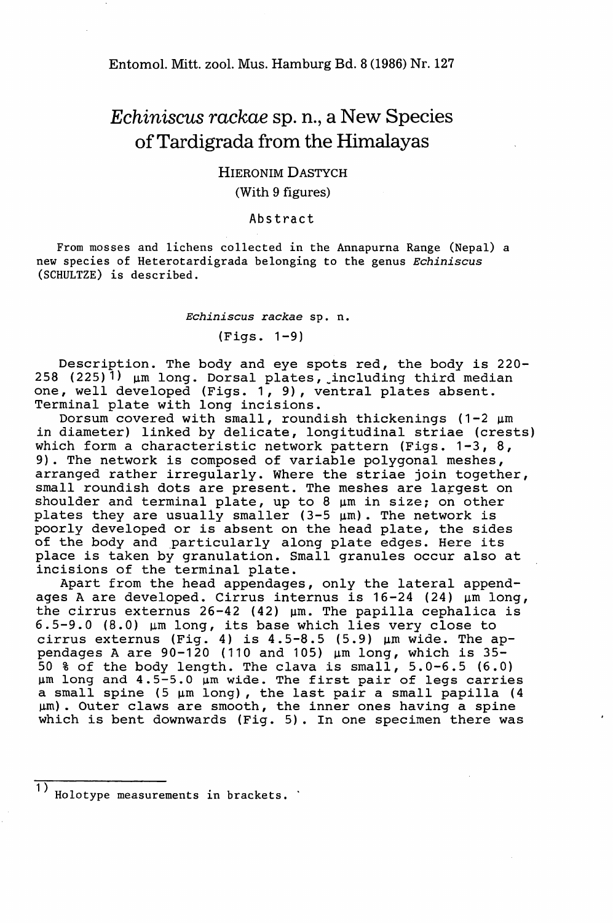# *Echiniscus rackae* Sp. n., a New Species ofTardigrada from the Himalayas

## HIERONIM DASTYCH (With 9 figures)

#### Abstract

From mosses and lichens collected in the Annapurna Range (Nepal) a new species of Heterotardigrada belonging to the genus *Echiniscus* (SCHULTZE) is described.

*Echiniscus rackae* sp. n.

(Figs. 1-9)

Description. The body and eye spots red, the body is 220- 258  $(225)$ <sup>1)</sup>  $\mu$ m long. Dorsal plates, including third median one, well developed (Figs. 1,9), ventral plates absent. Terminal plate with long incisions.

Dorsum covered with small, roundish thickenings  $(1-2 \mu m)$ in diameter) linked by delicate, longitudinal striae (crests) which form a characteristic network pattern (Figs. 1-3, 8, 9). The network is composed of variable polygonal meshes, arranged rather irregularly. Where the striae join together, small roundish dots are present. The meshes are largest on shoulder and terminal plate, up to 8  $\mu$ m in size; on other plates they are usually smaller  $(3-5 \mu m)$ . The network is poorly developed or is absent on the head plate, the sides poorly developed of is absent on the head plate, the side<br>of the body and particularly along plate edges. Here its place is taken by granulation. Small granules occur also at incisions of the terminal plate.

Apart from the head appendages, only the lateral appendages A are developed. Cirrus internus is  $16-24$  (24)  $\mu$ m long, the cirrus externus  $26-42$  (42)  $\mu$ m. The papilla cephalica is  $6.5-9.0$  (8.0)  $\mu$ m long, its base which lies very close to cirrus externus (Fig. 4) is 4.5-8.5 (5.9) um wide. The appendages <sup>A</sup> are 90-120 (110 and 105) urn long, which is 35- <sup>50</sup> % of the body length. The clava is small, 5.0-6.5 (6.0)  $\mu$ m long and 4.5-5.0  $\mu$ m wide. The first pair of legs carries a small spine (5  $\mu$ m long), the last pair a small papilla (4 urn). Outer claws are smooth, the inner ones haVing a spine which is bent downwards (Fig. 5). In one specimen there was

Holotype measurements in brackets.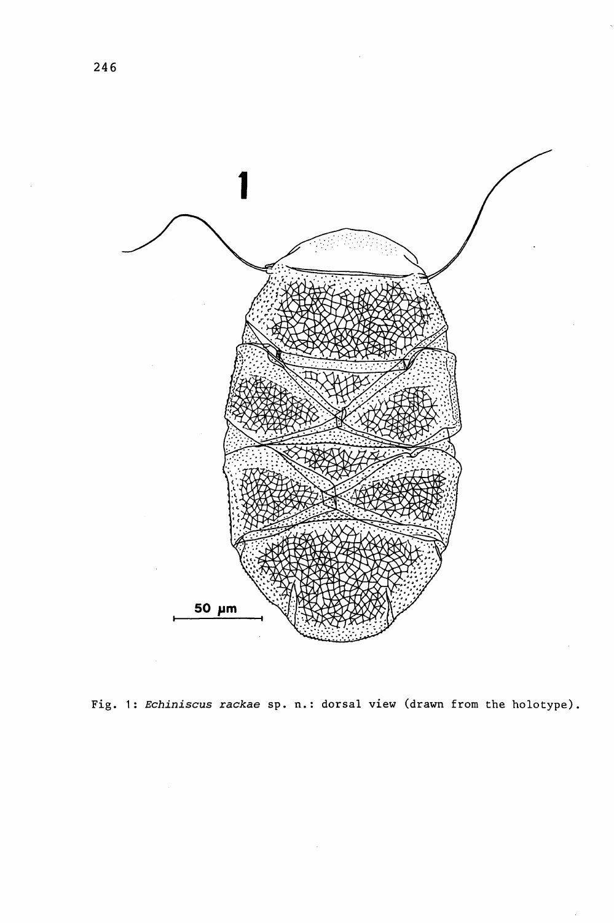

Fig. 1: *Echiniscus rackae* sp. n.: dorsal view (drawn from the holotype).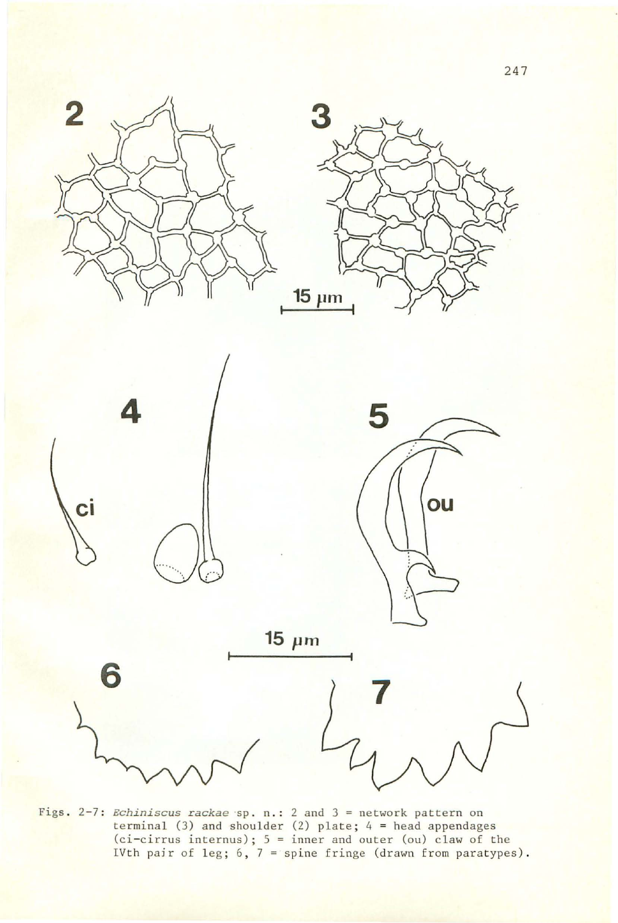







 $15 \mu m$ 

6

Figs. 2-7: *Echiniscus rackae* sp. n.: 2 and 3 = network pattern on<br>terminal (3) and shoulder (2) plate; 4 = head appendages<br>(ci-cirrus internus); 5 = inner and outer (ou) claw of the<br>IVth pair of leg; 6, 7 = spine fringe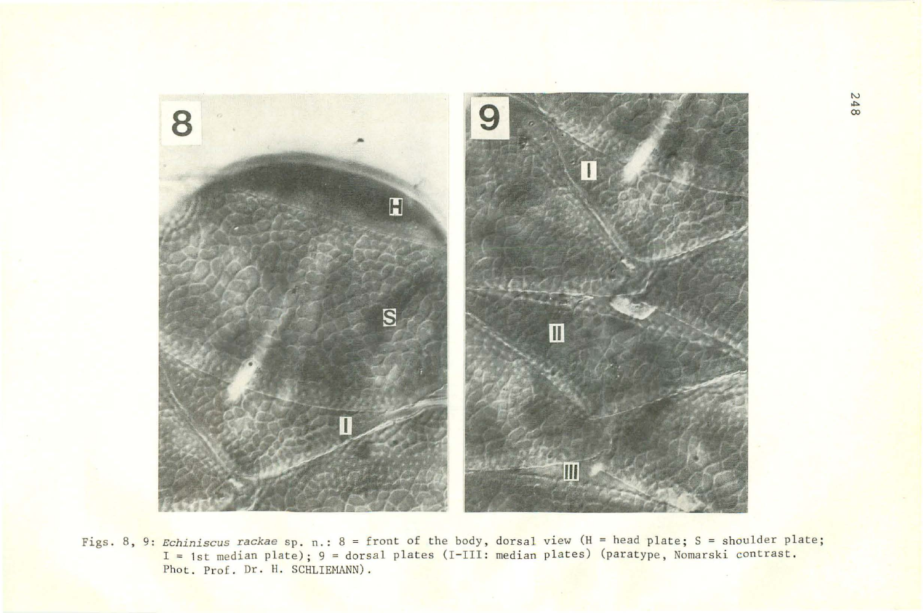

Figs. 8, 9: *Echiniscus rackae* sp. n.: 8 = front of the body, dorsal view (H = head plate; S = shoulder plate; I<br>I = 1st median plate); 9 = dorsal plates (I-III: median plates) (paratype, Nomarski contrast. Phot. Prof. Dr. H. SCHLIEMANN).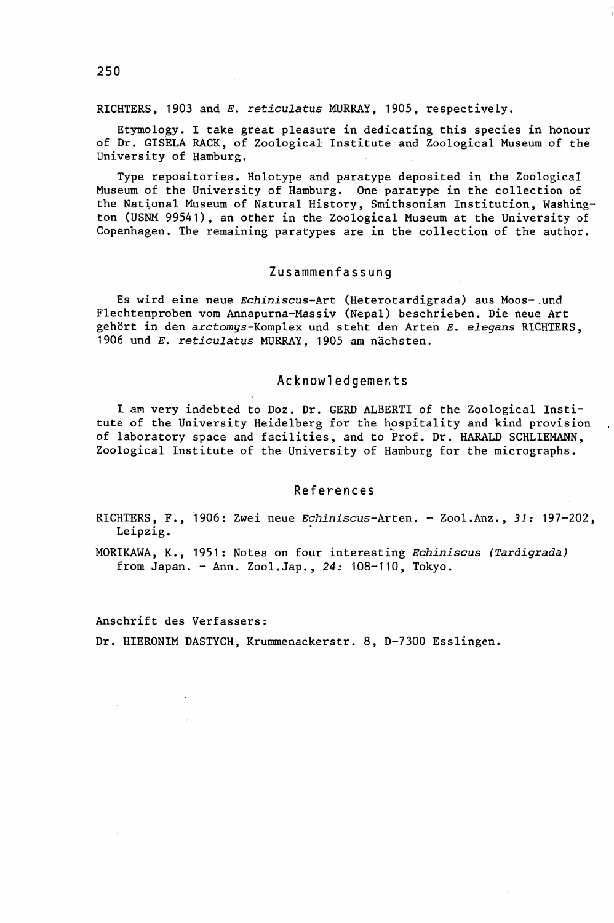RICHTERS, 1903 and *E. reticulatus* MURRAY, 1905, respectively.

Etymology. I take great pleasure in dedicating this species in honour of Dr. GISELA RACK, of Zoological Institute and Zoological Museum of the University of Hamburg.

Type repositories. Holotype and paratype deposited in the Zoological Museum of the University of Hamburg. One paratype in the collection of the National Museum of Natural History, Smithsonian Institution, Washington (USNM 99541), an other in the Zoological Museum at the University of Copenhagen. The remaining paratypes are in the collection of the author.

### Zusammenfassung

Es wird eine neue *Echiniscus-Art* (Heterotardigrada) aus Moos-.und Flechtenproben vom Annapurna-Massiv (Nepal) beschrieben. Die neue *Art* gehort in den arctomys-Komplex und steht den Arten *E. elegans* RICHTERS, 1906 und *E. reticulatus* MURRAY, 1905 am nächsten.

#### Acknowledgemer.ts

I am very indebted to Doz. Dr. GERD ALBERTI of the Zoological Institute of the University Heidelberg for the hospitality and kind provision of laboratory space and facilities, and to Prof. Dr. HARALD SCHLIEMANN, Zoological Institute of the University of Hamburg for the micrographs.

#### References

RICHTERS, F., "1906: Zwei neue *Echiniscus-Arten.* - Zool.Anz., 31: 197-202, Leipzig.

MORIKAWA, K., 1951: Notes on four interesting *Echiniscus (Tardigrada)* from Japan. - Ann. Zool.Jap., 24: 108-110, Tokyo.

Anschrift des Verfassers:

Dr. HIERONIM DASTYCH, Krummenackerstr. 8, D-7300 Esslingen.

250